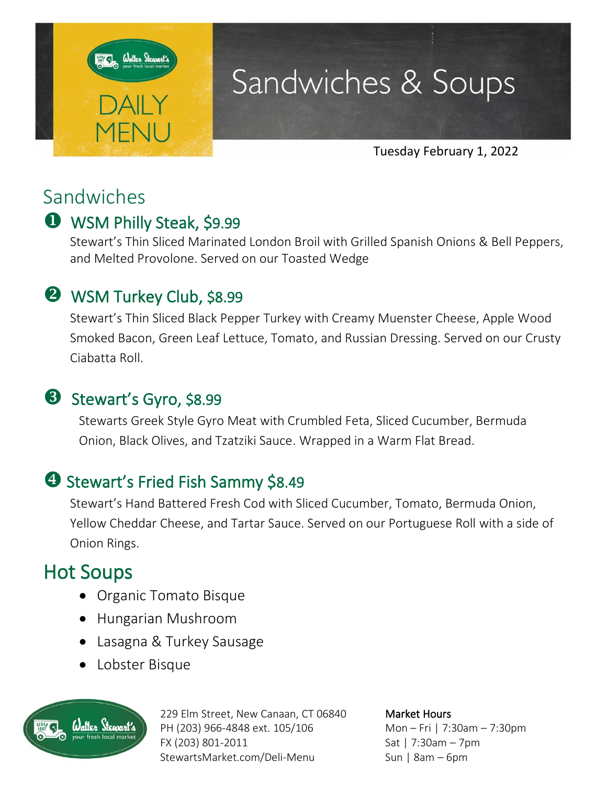

## Sandwiches & Soups

Tuesday February 1, 2022

## Sandwiches

## WSM Philly Steak, \$9.99

Stewart's Thin Sliced Marinated London Broil with Grilled Spanish Onions & Bell Peppers, and Melted Provolone. Served on our Toasted Wedge

### **2** WSM Turkey Club, \$8.99

Stewart's Thin Sliced Black Pepper Turkey with Creamy Muenster Cheese, Apple Wood Smoked Bacon, Green Leaf Lettuce, Tomato, and Russian Dressing. Served on our Crusty Ciabatta Roll.

## **B** Stewart's Gyro, \$8.99

Stewarts Greek Style Gyro Meat with Crumbled Feta, Sliced Cucumber, Bermuda Onion, Black Olives, and Tzatziki Sauce. Wrapped in a Warm Flat Bread.

## **3 Stewart's Fried Fish Sammy \$8.49**

Stewart's Hand Battered Fresh Cod with Sliced Cucumber, Tomato, Bermuda Onion, Yellow Cheddar Cheese, and Tartar Sauce. Served on our Portuguese Roll with a side of Onion Rings.

## Hot Soups

- Organic Tomato Bisque
- Hungarian Mushroom
- Lasagna & Turkey Sausage
- Lobster Bisque



229 Elm Street, New Canaan, CT 06840 PH (203) 966-4848 ext. 105/106 FX (203) 801-2011 StewartsMarket.com/Deli-Menu

Market Hours Mon – Fri | 7:30am – 7:30pm Sat | 7:30am – 7pm Sun | 8am – 6pm